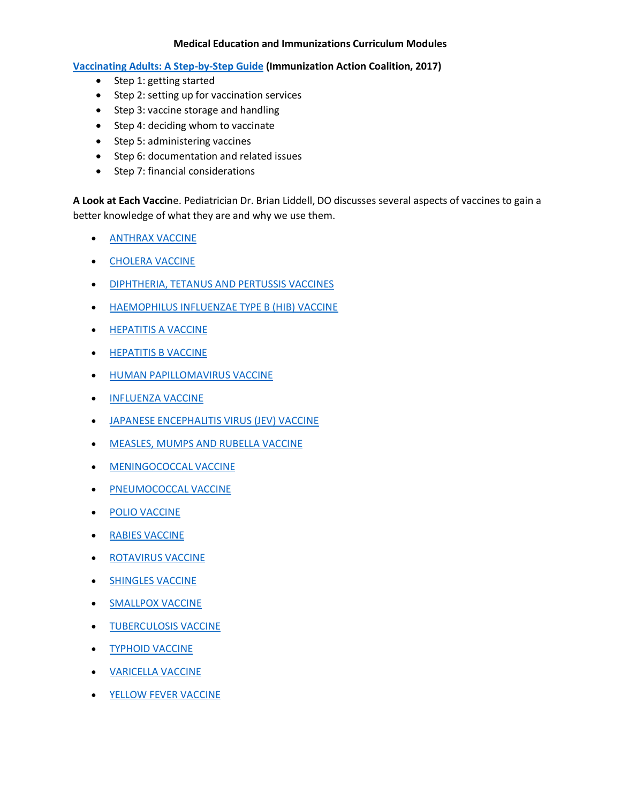## **Medical Education and Immunizations Curriculum Modules**

**[Vaccinating Adults: A Step-by-Step Guide](https://www.immunize.org/guide/pdfs/vacc-adults-entire.pdf) (Immunization Action Coalition, 2017)**

- Step 1: getting started
- Step 2: setting up for vaccination services
- Step 3: vaccine storage and handling
- Step 4: deciding whom to vaccinate
- Step 5: administering vaccines
- Step 6: documentation and related issues
- Step 7: financial considerations

**A Look at Each Vaccin**e. Pediatrician Dr. Brian Liddell, DO discusses several aspects of vaccines to gain a better knowledge of what they are and why we use them.

- **[ANTHRAX VACCINE](https://www.chop.edu/centers-programs/vaccine-education-center/vaccine-details/anthrax-vaccine)**
- **[CHOLERA VACCINE](https://www.chop.edu/centers-programs/vaccine-education-center/vaccine-details/cholera-vaccine)**
- [DIPHTHERIA, TETANUS AND PERTUSSIS VACCINES](https://www.chop.edu/centers-programs/vaccine-education-center/vaccine-details/diphtheria-tetanus-and-pertussis-vaccines)
- [HAEMOPHILUS INFLUENZAE TYPE B \(HIB\) VACCINE](https://www.chop.edu/centers-programs/vaccine-education-center/vaccine-details/haemophilus-influenzae-type-b-hib-vaccine)
- **[HEPATITIS A VACCINE](https://www.chop.edu/centers-programs/vaccine-education-center/vaccine-details/hepatitis-a-vaccine)**
- **[HEPATITIS B VACCINE](https://www.chop.edu/centers-programs/vaccine-education-center/vaccine-details/vaccine-hepatitis-b-vaccine)**
- **[HUMAN PAPILLOMAVIRUS VACCINE](https://www.chop.edu/centers-programs/vaccine-education-center/vaccine-details/human-papillomavirus)**
- **[INFLUENZA VACCINE](https://www.chop.edu/centers-programs/vaccine-education-center/vaccine-details/influenza-vaccine)**
- [JAPANESE ENCEPHALITIS VIRUS \(JEV\) VACCINE](https://www.chop.edu/centers-programs/vaccine-education-center/vaccine-details/japanese-encephalitis-virus-jev-vaccine)
- [MEASLES, MUMPS AND RUBELLA VACCINE](https://www.chop.edu/centers-programs/vaccine-education-center/vaccine-details/measles-mumps-and-rubella-vaccines)
- [MENINGOCOCCAL VACCINE](https://www.chop.edu/centers-programs/vaccine-education-center/vaccine-details/meningococcal-vaccine)
- **[PNEUMOCOCCAL VACCINE](https://www.chop.edu/centers-programs/vaccine-education-center/vaccine-details/pneumococcal-vaccine)**
- [POLIO VACCINE](https://www.chop.edu/centers-programs/vaccine-education-center/vaccine-details/polio-vaccine)
- [RABIES VACCINE](https://www.chop.edu/centers-programs/vaccine-education-center/vaccine-details/rabies-vaccine)
- **[ROTAVIRUS VACCINE](https://www.chop.edu/centers-programs/vaccine-education-center/vaccine-details/rotavirus-vaccine)**
- **[SHINGLES VACCINE](https://www.chop.edu/centers-programs/vaccine-education-center/vaccine-details/shingles-vaccine)**
- **[SMALLPOX VACCINE](https://www.chop.edu/centers-programs/vaccine-education-center/vaccine-details/smallpox-vaccine)**
- **[TUBERCULOSIS VACCINE](https://www.chop.edu/centers-programs/vaccine-education-center/vaccine-details/tuberculosis-vaccine)**
- **[TYPHOID VACCINE](https://www.chop.edu/centers-programs/vaccine-education-center/vaccine-details/typhoid-vaccine)**
- [VARICELLA VACCINE](https://www.chop.edu/centers-programs/vaccine-education-center/vaccine-details/varicella-vaccine)
- **[YELLOW FEVER VACCINE](https://www.chop.edu/centers-programs/vaccine-education-center/vaccine-details/yellow-fever-vaccine)**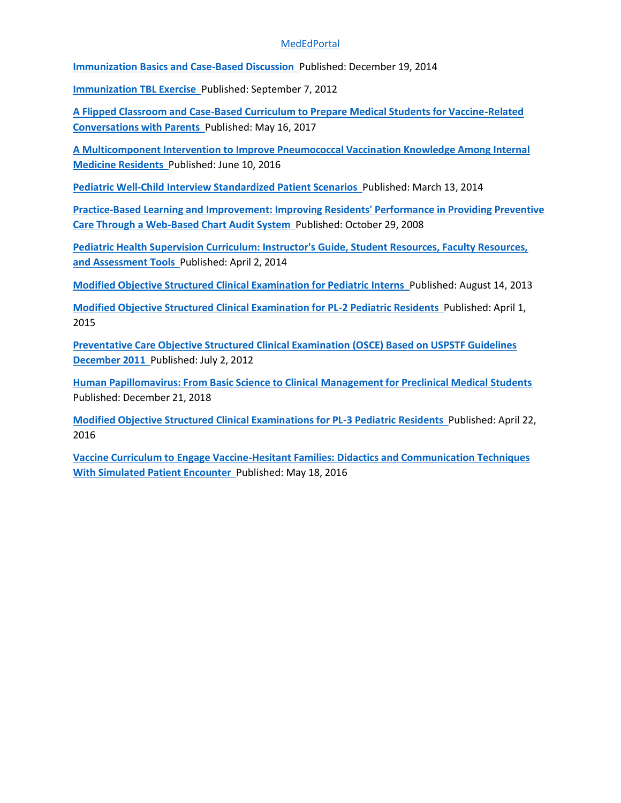## **[MedEdPortal](https://www.mededportal.org/)**

**Immunization [Basics and Case-Based Discussion](https://www.mededportal.org/doi/10.15766/mep_2374-8265.9983)** Published: December 19, 2014

**[Immunization](https://www.mededportal.org/doi/10.15766/mep_2374-8265.9230) TBL Exercise** Published: September 7, 2012

**[A Flipped Classroom and Case-Based Curriculum to Prepare Medical Students for Vaccine-Related](https://www.mededportal.org/doi/10.15766/mep_2374-8265.10582)  [Conversations with Parents](https://www.mededportal.org/doi/10.15766/mep_2374-8265.10582)** Published: May 16, 2017

**[A Multicomponent Intervention to Improve Pneumococcal Vaccination Knowledge Among Internal](https://www.mededportal.org/doi/10.15766/mep_2374-8265.10414)  [Medicine Residents](https://www.mededportal.org/doi/10.15766/mep_2374-8265.10414)** Published: June 10, 2016

**[Pediatric Well-Child Interview Standardized Patient Scenarios](https://www.mededportal.org/doi/10.15766/mep_2374-8265.9725)** Published: March 13, 2014

**[Practice-Based Learning and Improvement: Improving Residents' Performance in Providing Preventive](https://www.mededportal.org/doi/10.15766/mep_2374-8265.1131)  [Care Through a Web-Based Chart Audit System](https://www.mededportal.org/doi/10.15766/mep_2374-8265.1131)** Published: October 29, 2008

**[Pediatric Health Supervision Curriculum: Instructor's Guide, Student Resources, Faculty Resources,](https://www.mededportal.org/doi/10.15766/mep_2374-8265.9752)  [and Assessment Tools](https://www.mededportal.org/doi/10.15766/mep_2374-8265.9752)** Published: April 2, 2014

**[Modified Objective Structured Clinical Examination for Pediatric Interns](https://www.mededportal.org/doi/10.15766/mep_2374-8265.9488)** Published: August 14, 2013

**[Modified Objective Structured Clinical Examination for PL-2 Pediatric Residents](https://www.mededportal.org/doi/10.15766/mep_2374-8265.10069)** Published: April 1, 2015

**[Preventative Care Objective Structured Clinical Examination \(OSCE\) Based on USPSTF Guidelines](https://www.mededportal.org/doi/10.15766/mep_2374-8265.9185)  [December 2011](https://www.mededportal.org/doi/10.15766/mep_2374-8265.9185)** Published: July 2, 201[2](https://www.mededportal.org/doi/10.15766/mep_2374-8265.10787)

**[Human Papillomavirus: From Basic Science to Clinical Management for Preclinical Medical Students](https://www.mededportal.org/doi/10.15766/mep_2374-8265.10787)**  Published: December 21, 2018

**[Modified Objective Structured Clinical Examinations for PL-3 Pediatric Residents](https://www.mededportal.org/doi/10.15766/mep_2374-8265.10382)** Published: April 22, 2016

**[Vaccine Curriculum to Engage Vaccine-Hesitant Families: Didactics and Communication Techniques](https://www.mededportal.org/doi/10.15766/mep_2374-8265.10400)  [With Simulated Patient Encounter](https://www.mededportal.org/doi/10.15766/mep_2374-8265.10400)** Published: May 18, 2016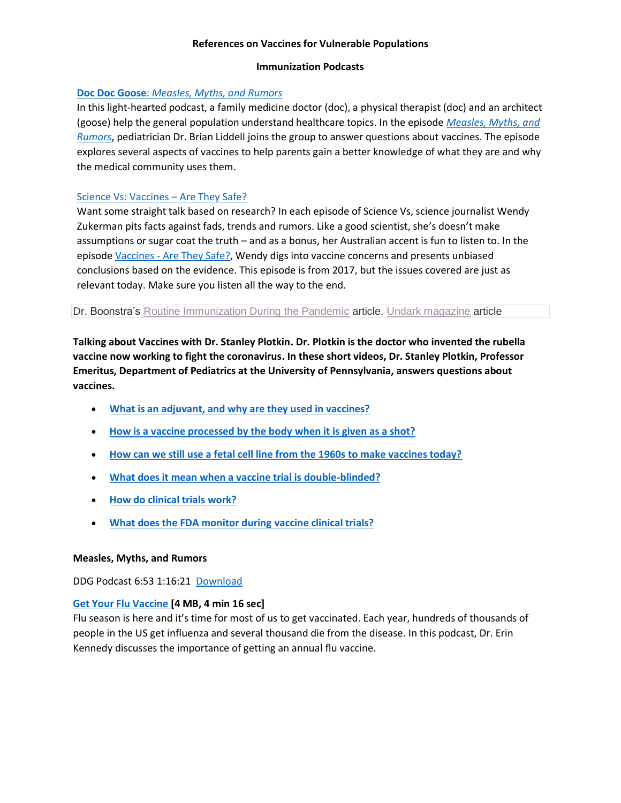### **References on Vaccines for Vulnerable Populations**

### **Immunization Podcasts**

## **Doc Doc Goose**: *[Measles, Myths, and Rumors](http://www.ddgpodcast.com/episodes/2019/4/7/episode-8-measles-myths-and-rumors)*

In this light-hearted podcast, a family medicine doctor (doc), a physical therapist (doc) and an architect (goose) help the general population understand healthcare topics. In the episode *[Measles, Myths, and](https://www.ddgpodcast.com/episodes/2019/4/7/episode-8-measles-myths-and-rumors)  [Rumors](https://www.ddgpodcast.com/episodes/2019/4/7/episode-8-measles-myths-and-rumors)*, pediatrician Dr. Brian Liddell joins the group to answer questions about vaccines. The episode explores several aspects of vaccines to help parents gain a better knowledge of what they are and why the medical community uses them.

## Science Vs: Vaccines – [Are They Safe?](https://gimletmedia.com/shows/science-vs/n8ho59/vaccines-are-they-safe)

Want some straight talk based on research? In each episode of Science Vs, science journalist Wendy Zukerman pits facts against fads, trends and rumors. Like a good scientist, she's doesn't make assumptions or sugar coat the truth – and as a bonus, her Australian accent is fun to listen to. In the episode Vaccines - [Are They Safe?,](https://gimletmedia.com/shows/science-vs/n8ho59/vaccines-are-they-safe) Wendy digs into vaccine concerns and presents unbiased conclusions based on the evidence. This episode is from 2017, but the issues covered are just as relevant today. Make sure you listen all the way to the end.

Dr. Boonstra's Routine [Immunization](https://www.unitypoint.org/blankchildrens/pedsgeekmd-article.aspx?id=40db0f95-f142-4126-83f2-ebae9fedb947&Are+Routine+Vaccines+Important+During+the+COVID-19+Pandemic%253f) During the Pandemic article. Undark [magazine](https://undark.org/2020/04/16/anti-vaccine-covid-19/) article

**Talking about Vaccines with Dr. Stanley Plotkin. Dr. Plotkin is the doctor who invented the rubella vaccine now working to fight the coronavirus. In these short videos, Dr. Stanley Plotkin, Professor Emeritus, Department of Pediatrics at the University of Pennsylvania, answers questions about vaccines.**

- **[What is an adjuvant, and why are they used in vaccines?](https://www.chop.edu/centers-programs/vaccine-education-center/video/what-adjuvant-and-why-are-they-used-vaccines)**
- **[How is a vaccine processed by the body](https://www.chop.edu/centers-programs/vaccine-education-center/video/how-vaccine-processed-body-when-it-given-shot) when it is given as a shot?**
- **[How can we still use a fetal cell line from the 1960s to make vaccines today?](https://www.chop.edu/centers-programs/vaccine-education-center/video/how-can-we-still-use-fetal-cell-line-1960s-make-vaccines-today)**
- **[What does it mean when a vaccine trial is double-blinded?](https://www.chop.edu/centers-programs/vaccine-education-center/video/what-does-it-mean-when-vaccine-trial-double-blinded)**
- **[How do clinical trials work?](https://www.chop.edu/centers-programs/vaccine-education-center/video/how-do-clinical-trials-work)**
- **[What does the FDA monitor during vaccine clinical trials?](https://www.chop.edu/centers-programs/vaccine-education-center/video/what-does-fda-monitor-during-vaccine-clinical-trials)**

## **Measles, Myths, and Rumors**

DDG Podcast 6:53 1:16:21 [Download](https://media.blubrry.com/doc_doc_goose/static1.squarespace.com/static/5b49146a5417fcb696f9eb24/t/5cad6059ee6eb045378be9da/1554866627010/Measles%2C+Myths%2C+and+Rumors.mp3/original/Measles%2C+Myths%2C+and+Rumors.mp3?download=true)

## **[Get Your Flu Vaccine](https://tools.cdc.gov/medialibrary/index.aspx#/media/id/304098) [4 MB, 4 min 16 sec]**

Flu season is here and it's time for most of us to get vaccinated. Each year, hundreds of thousands of people in the US get influenza and several thousand die from the disease. In this podcast, Dr. Erin Kennedy discusses the importance of getting an annual flu vaccine.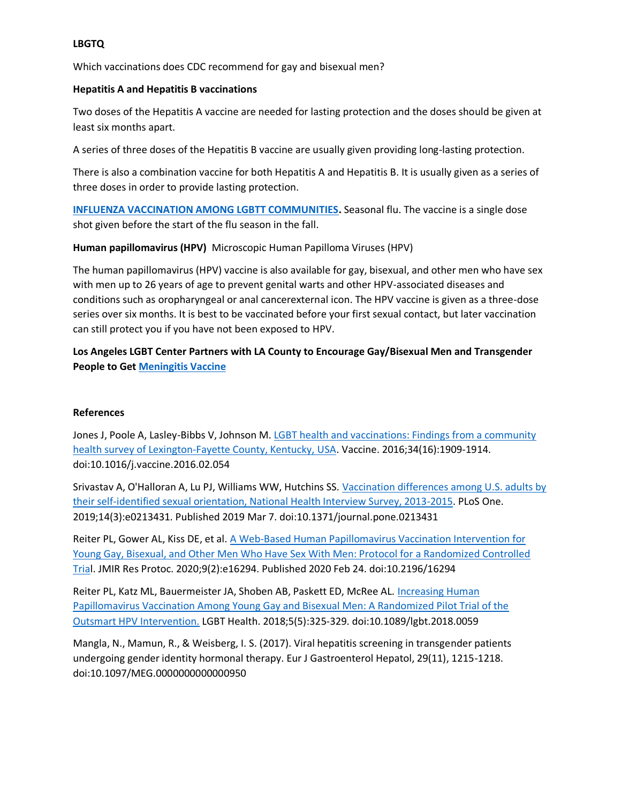## **LBGTQ**

Which vaccinations does CDC recommend for gay and bisexual men?

## **Hepatitis A and Hepatitis B vaccinations**

Two doses of the Hepatitis A vaccine are needed for lasting protection and the doses should be given at least six months apart.

A series of three doses of the Hepatitis B vaccine are usually given providing long-lasting protection.

There is also a combination vaccine for both Hepatitis A and Hepatitis B. It is usually given as a series of three doses in order to provide lasting protection.

**[INFLUENZA VACCINATION AMONG LGBTT COMMUNITIES.](https://blog.lgbthealthlink.org/2014/09/11/influenza-vaccination-among-lgbtt-communities/)** Seasonal flu. The vaccine is a single dose shot given before the start of the flu season in the fall.

**Human papillomavirus (HPV)** Microscopic Human Papilloma Viruses (HPV)

The human papillomavirus (HPV) vaccine is also available for gay, bisexual, and other men who have sex with men up to 26 years of age to prevent genital warts and other HPV-associated diseases and conditions such as oropharyngeal or anal cancerexternal icon. The HPV vaccine is given as a three-dose series over six months. It is best to be vaccinated before your first sexual contact, but later vaccination can still protect you if you have not been exposed to HPV.

**Los Angeles LGBT Center Partners with LA County to Encourage Gay/Bisexual Men and Transgender People to Get [Meningitis Vaccine](https://lalgbtcenter.org/health-services/medical-services/vaccine)** 

## **References**

Jones J, Poole A, Lasley-Bibbs V, Johnson M. LGBT health and vaccinations: Findings from a community [health survey of Lexington-Fayette County, Kentucky, USA](https://www.sciencedirect.com/science/article/pii/S0264410X16002358?via%3Dihub). Vaccine. 2016;34(16):1909-1914. doi:10.1016/j.vaccine.2016.02.054

Srivastav A, O'Halloran A, Lu PJ, Williams WW, Hutchins SS. [Vaccination differences among U.S. adults by](https://www.ncbi.nlm.nih.gov/pmc/articles/PMC6405200/pdf/pone.0213431.pdf)  [their self-identified sexual orientation, National Health Interview Survey, 2013-2015.](https://www.ncbi.nlm.nih.gov/pmc/articles/PMC6405200/pdf/pone.0213431.pdf) PLoS One. 2019;14(3):e0213431. Published 2019 Mar 7. doi:10.1371/journal.pone.0213431

Reiter PL, Gower AL, Kiss DE, et al. [A Web-Based Human Papillomavirus Vaccination Intervention for](https://www.ncbi.nlm.nih.gov/pmc/articles/PMC7063529/?report=printable)  [Young Gay, Bisexual, and Other Men Who Have Sex With Men: Protocol for a Randomized Controlled](https://www.ncbi.nlm.nih.gov/pmc/articles/PMC7063529/?report=printable)  [Trial](https://www.ncbi.nlm.nih.gov/pmc/articles/PMC7063529/?report=printable). JMIR Res Protoc. 2020;9(2):e16294. Published 2020 Feb 24. doi:10.2196/16294

Reiter PL, Katz ML, Bauermeister JA, Shoben AB, Paskett ED, McRee AL. [Increasing Human](https://www.ncbi.nlm.nih.gov/pmc/articles/PMC6034390/pdf/lgbt.2018.0059.pdf)  [Papillomavirus Vaccination Among Young Gay and Bisexual Men: A Randomized Pilot Trial of the](https://www.ncbi.nlm.nih.gov/pmc/articles/PMC6034390/pdf/lgbt.2018.0059.pdf)  [Outsmart HPV Intervention.](https://www.ncbi.nlm.nih.gov/pmc/articles/PMC6034390/pdf/lgbt.2018.0059.pdf) LGBT Health. 2018;5(5):325‐329. doi:10.1089/lgbt.2018.0059

Mangla, N., Mamun, R., & Weisberg, I. S. (2017). Viral hepatitis screening in transgender patients undergoing gender identity hormonal therapy. Eur J Gastroenterol Hepatol, 29(11), 1215-1218. doi:10.1097/MEG.0000000000000950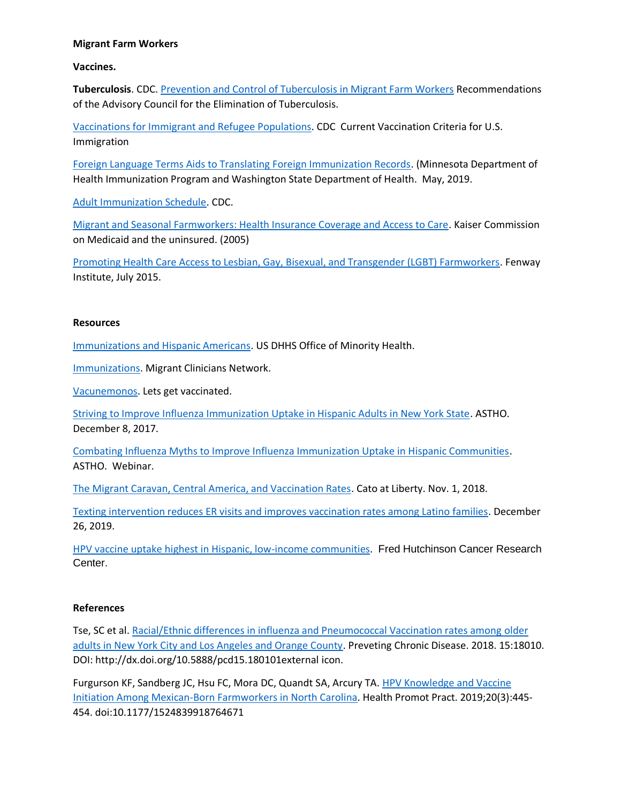### **Migrant Farm Workers**

**Vaccines.**

**Tuberculosis**. CDC. [Prevention and Control of Tuberculosis in Migrant Farm Workers](https://www.cdc.gov/mmwr/preview/mmwrhtml/00032773.htm) Recommendations of the Advisory Council for the Elimination of Tuberculosis.

[Vaccinations for Immigrant and Refugee Populations.](https://www.cdc.gov/immigrantrefugeehealth/pdf/revised-fact-sheet-fed-reg-notice-vaccination-immigration.pdf) CDC Current Vaccination Criteria for U.S. Immigration

[Foreign Language Terms Aids to Translating Foreign Immunization Records.](https://www.cdc.gov/vaccines/pubs/pinkbook/downloads/appendices/B/foreign-products-tables.pdf) (Minnesota Department of Health Immunization Program and Washington State Department of Health. May, 2019.

[Adult Immunization Schedule.](https://www.cdc.gov/vaccines/schedules/hcp/imz/adult.html#vacc-adult) CDC.

[Migrant and Seasonal Farmworkers: Health Insurance Coverage and Access to Care.](https://www.kff.org/wp-content/uploads/2013/01/migrant-and-seasonal-farmworkers-health-insurance-coverage-and-access-to-care-report.pdf) Kaiser Commission on Medicaid and the uninsured. (2005)

[Promoting Health Care Access to Lesbian, Gay, Bisexual, and Transgender \(LGBT\) Farmworkers.](https://www.lgbthealtheducation.org/wp-content/uploads/Promoting-Health-Care-Access-to-LGBT-Farmworkers-Final.pdf) Fenway Institute, July 2015.

## **Resources**

[Immunizations and Hispanic Americans.](https://minorityhealth.hhs.gov/omh/browse.aspx?lvl=4&lvlid=67) US DHHS Office of Minority Health.

[Immunizations.](https://www.migrantclinician.org/issues/immunizations) Migrant Clinicians Network.

[Vacunemonos.](https://www.nhcoa.org/our-work/nhcoa-programs/lets-get-vaccinated/) Lets get vaccinated.

[Striving to Improve Influenza Immunization Uptake in Hispanic Adults in New York State.](https://www.astho.org/StatePublicHealth/Striving-to-Improve-Influenza-Immunization-Uptake-in-Hispanic-Adults-in-New-York-State/12/08/17/) ASTHO. December 8, 2017.

[Combating Influenza Myths to Improve Influenza Immunization Uptake in Hispanic Communities.](https://www.youtube.com/watch?v=Zn0CmWf7z3I) ASTHO. Webinar.

[The Migrant Caravan, Central America, and Vaccination Rates.](https://www.cato.org/blog/migrant-caravan-central-america-vaccination-rates) Cato at Liberty. Nov. 1, 2018.

[Texting intervention reduces ER visits and improves vaccination rates among Latino families.](https://www.2minutemedicine.com/texting-intervention-reduces-er-visits-and-improves-vaccination-rates-among-latino-families/) December 26, 2019.

[HPV vaccine uptake highest in Hispanic, low-income communities.](https://www.fredhutch.org/en/news/center-news/2016/01/HPV-vaccine-highest-hispanic-low-income-communities.html) Fred Hutchinson Cancer Research Center.

## **References**

Tse, SC et al. [Racial/Ethnic differences in influenza and Pneumococcal Vaccination rates among older](https://www.cdc.gov/pcd/issues/2018/18_0101.htm)  [adults in New York City and Los Angeles and Orange County.](https://www.cdc.gov/pcd/issues/2018/18_0101.htm) Preveting Chronic Disease. 2018. 15:18010. DOI: http://dx.doi.org/10.5888/pcd15.180101external icon.

Furgurson KF, Sandberg JC, Hsu FC, Mora DC, Quandt SA, Arcury TA. HPV Knowledge and Vaccine [Initiation Among Mexican-Born Farmworkers in North Carolina](https://www.ncbi.nlm.nih.gov/pmc/articles/PMC6237648/pdf/nihms-994761.pdf). Health Promot Pract. 2019;20(3):445‐ 454. doi:10.1177/1524839918764671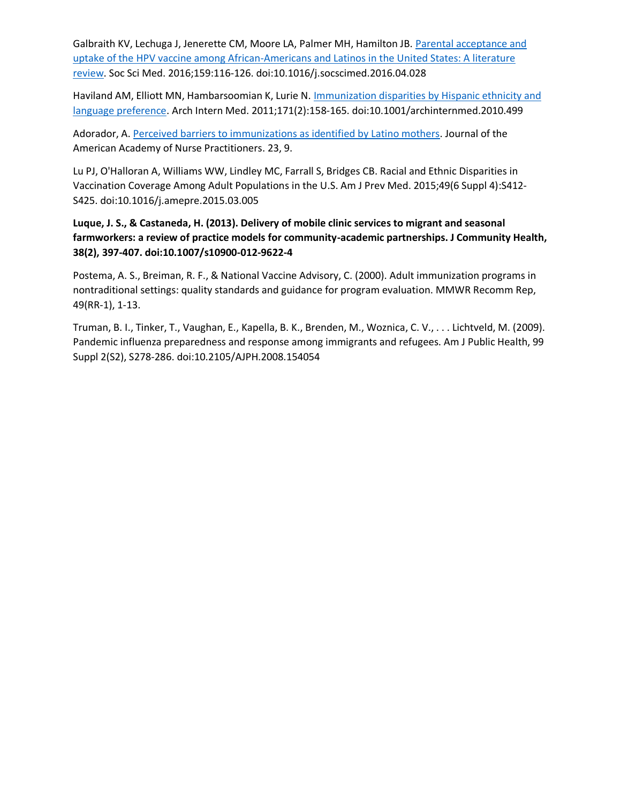Galbraith KV, Lechuga J, Jenerette CM, Moore LA, Palmer MH, Hamilton JB[. Parental acceptance and](https://www.sciencedirect.com/science/article/abs/pii/S0277953616302027?via%3Dihub)  [uptake of the HPV vaccine among African-Americans and Latinos in the United States: A literature](https://www.sciencedirect.com/science/article/abs/pii/S0277953616302027?via%3Dihub)  [review](https://www.sciencedirect.com/science/article/abs/pii/S0277953616302027?via%3Dihub). Soc Sci Med. 2016;159:116‐126. doi:10.1016/j.socscimed.2016.04.028

Haviland AM, Elliott MN, Hambarsoomian K, Lurie N. [Immunization disparities by Hispanic ethnicity and](https://jamanetwork.com/journals/jamainternalmedicine/fullarticle/226490)  [language preference](https://jamanetwork.com/journals/jamainternalmedicine/fullarticle/226490). Arch Intern Med. 2011;171(2):158‐165. doi:10.1001/archinternmed.2010.499

Adorador, A. [Perceived barriers to immunizations as identified by Latino mothers.](https://onlinelibrary.wiley.com/doi/abs/10.1111/j.1745-7599.2011.00632.x) Journal of the American Academy of Nurse Practitioners. 23, 9.

Lu PJ, O'Halloran A, Williams WW, Lindley MC, Farrall S, Bridges CB. Racial and Ethnic Disparities in Vaccination Coverage Among Adult Populations in the U.S. Am J Prev Med. 2015;49(6 Suppl 4):S412‐ S425. doi:10.1016/j.amepre.2015.03.005

# **Luque, J. S., & Castaneda, H. (2013). Delivery of mobile clinic services to migrant and seasonal farmworkers: a review of practice models for community-academic partnerships. J Community Health, 38(2), 397-407. doi:10.1007/s10900-012-9622-4**

Postema, A. S., Breiman, R. F., & National Vaccine Advisory, C. (2000). Adult immunization programs in nontraditional settings: quality standards and guidance for program evaluation. MMWR Recomm Rep, 49(RR-1), 1-13.

Truman, B. I., Tinker, T., Vaughan, E., Kapella, B. K., Brenden, M., Woznica, C. V., . . . Lichtveld, M. (2009). Pandemic influenza preparedness and response among immigrants and refugees. Am J Public Health, 99 Suppl 2(S2), S278-286. doi:10.2105/AJPH.2008.154054